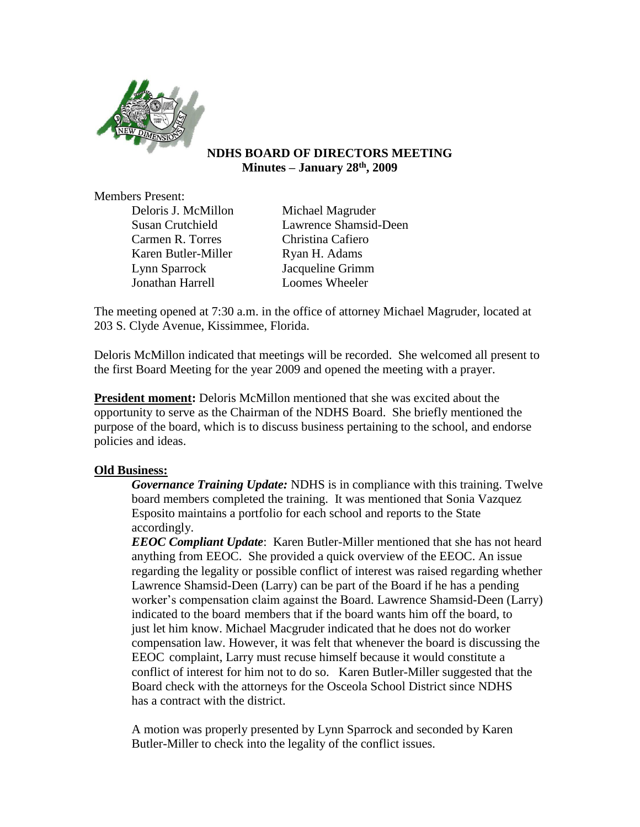

## **NDHS BOARD OF DIRECTORS MEETING Minutes – January 28th, 2009**

Members Present:

Deloris J. McMillon Michael Magruder Carmen R. Torres Christina Cafiero Karen Butler-Miller Ryan H. Adams Lynn Sparrock Jacqueline Grimm Jonathan Harrell Loomes Wheeler

Susan Crutchield Lawrence Shamsid-Deen

The meeting opened at 7:30 a.m. in the office of attorney Michael Magruder, located at 203 S. Clyde Avenue, Kissimmee, Florida.

Deloris McMillon indicated that meetings will be recorded. She welcomed all present to the first Board Meeting for the year 2009 and opened the meeting with a prayer.

**President moment:** Deloris McMillon mentioned that she was excited about the opportunity to serve as the Chairman of the NDHS Board. She briefly mentioned the purpose of the board, which is to discuss business pertaining to the school, and endorse policies and ideas.

# **Old Business:**

*Governance Training Update:* NDHS is in compliance with this training. Twelve board members completed the training. It was mentioned that Sonia Vazquez Esposito maintains a portfolio for each school and reports to the State accordingly.

*EEOC Compliant Update*: Karen Butler-Miller mentioned that she has not heard anything from EEOC. She provided a quick overview of the EEOC. An issue regarding the legality or possible conflict of interest was raised regarding whether Lawrence Shamsid-Deen (Larry) can be part of the Board if he has a pending worker's compensation claim against the Board. Lawrence Shamsid-Deen (Larry) indicated to the board members that if the board wants him off the board, to just let him know. Michael Macgruder indicated that he does not do worker compensation law. However, it was felt that whenever the board is discussing the EEOC complaint, Larry must recuse himself because it would constitute a conflict of interest for him not to do so. Karen Butler-Miller suggested that the Board check with the attorneys for the Osceola School District since NDHS has a contract with the district.

A motion was properly presented by Lynn Sparrock and seconded by Karen Butler-Miller to check into the legality of the conflict issues.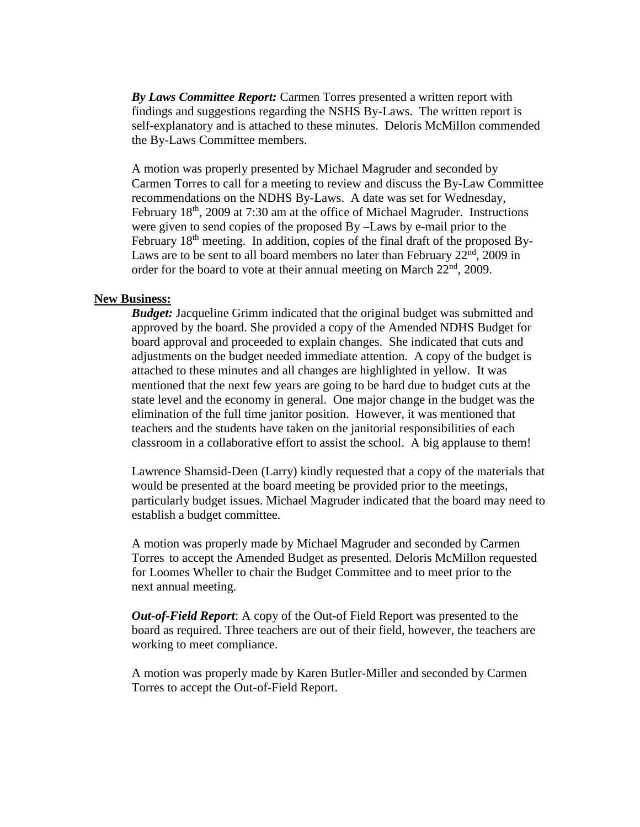*By Laws Committee Report:* Carmen Torres presented a written report with findings and suggestions regarding the NSHS By-Laws. The written report is self-explanatory and is attached to these minutes. Deloris McMillon commended the By-Laws Committee members.

A motion was properly presented by Michael Magruder and seconded by Carmen Torres to call for a meeting to review and discuss the By-Law Committee recommendations on the NDHS By-Laws. A date was set for Wednesday, February 18<sup>th</sup>, 2009 at 7:30 am at the office of Michael Magruder. Instructions were given to send copies of the proposed By –Laws by e-mail prior to the February 18<sup>th</sup> meeting. In addition, copies of the final draft of the proposed By-Laws are to be sent to all board members no later than February  $22<sup>nd</sup>$ ,  $2009$  in order for the board to vote at their annual meeting on March  $22<sup>nd</sup>$ , 2009.

#### **New Business:**

*Budget:* Jacqueline Grimm indicated that the original budget was submitted and approved by the board. She provided a copy of the Amended NDHS Budget for board approval and proceeded to explain changes. She indicated that cuts and adjustments on the budget needed immediate attention. A copy of the budget is attached to these minutes and all changes are highlighted in yellow. It was mentioned that the next few years are going to be hard due to budget cuts at the state level and the economy in general. One major change in the budget was the elimination of the full time janitor position. However, it was mentioned that teachers and the students have taken on the janitorial responsibilities of each classroom in a collaborative effort to assist the school. A big applause to them!

Lawrence Shamsid-Deen (Larry) kindly requested that a copy of the materials that would be presented at the board meeting be provided prior to the meetings, particularly budget issues. Michael Magruder indicated that the board may need to establish a budget committee.

A motion was properly made by Michael Magruder and seconded by Carmen Torres to accept the Amended Budget as presented. Deloris McMillon requested for Loomes Wheller to chair the Budget Committee and to meet prior to the next annual meeting.

*Out-of-Field Report*: A copy of the Out-of Field Report was presented to the board as required. Three teachers are out of their field, however, the teachers are working to meet compliance.

A motion was properly made by Karen Butler-Miller and seconded by Carmen Torres to accept the Out-of-Field Report.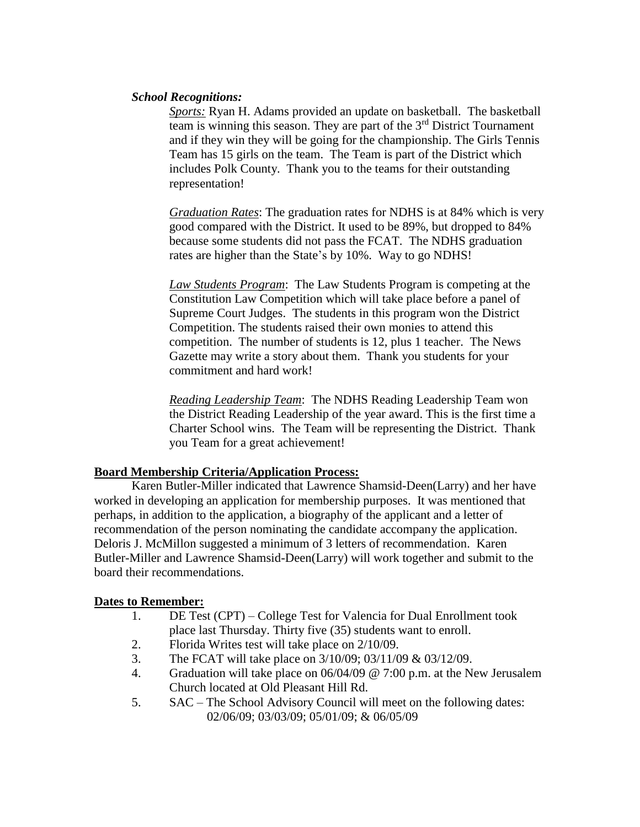## *School Recognitions:*

*Sports:* Ryan H. Adams provided an update on basketball. The basketball team is winning this season. They are part of the  $3<sup>rd</sup>$  District Tournament and if they win they will be going for the championship. The Girls Tennis Team has 15 girls on the team. The Team is part of the District which includes Polk County. Thank you to the teams for their outstanding representation!

*Graduation Rates*: The graduation rates for NDHS is at 84% which is very good compared with the District. It used to be 89%, but dropped to 84% because some students did not pass the FCAT. The NDHS graduation rates are higher than the State's by 10%. Way to go NDHS!

*Law Students Program*: The Law Students Program is competing at the Constitution Law Competition which will take place before a panel of Supreme Court Judges. The students in this program won the District Competition. The students raised their own monies to attend this competition. The number of students is 12, plus 1 teacher. The News Gazette may write a story about them. Thank you students for your commitment and hard work!

*Reading Leadership Team*: The NDHS Reading Leadership Team won the District Reading Leadership of the year award. This is the first time a Charter School wins. The Team will be representing the District. Thank you Team for a great achievement!

## **Board Membership Criteria/Application Process:**

Karen Butler-Miller indicated that Lawrence Shamsid-Deen(Larry) and her have worked in developing an application for membership purposes. It was mentioned that perhaps, in addition to the application, a biography of the applicant and a letter of recommendation of the person nominating the candidate accompany the application. Deloris J. McMillon suggested a minimum of 3 letters of recommendation. Karen Butler-Miller and Lawrence Shamsid-Deen(Larry) will work together and submit to the board their recommendations.

## **Dates to Remember:**

- 1. DE Test (CPT) College Test for Valencia for Dual Enrollment took place last Thursday. Thirty five (35) students want to enroll.
- 2. Florida Writes test will take place on 2/10/09.
- 3. The FCAT will take place on 3/10/09; 03/11/09 & 03/12/09.
- 4. Graduation will take place on 06/04/09 @ 7:00 p.m. at the New Jerusalem Church located at Old Pleasant Hill Rd.
- 5. SAC The School Advisory Council will meet on the following dates: 02/06/09; 03/03/09; 05/01/09; & 06/05/09